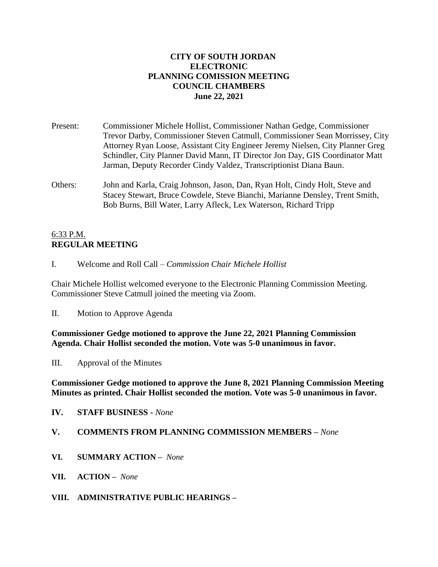### **CITY OF SOUTH JORDAN ELECTRONIC PLANNING COMISSION MEETING COUNCIL CHAMBERS June 22, 2021**

- Present: Commissioner Michele Hollist, Commissioner Nathan Gedge, Commissioner Trevor Darby, Commissioner Steven Catmull, Commissioner Sean Morrissey, City Attorney Ryan Loose, Assistant City Engineer Jeremy Nielsen, City Planner Greg Schindler, City Planner David Mann, IT Director Jon Day, GIS Coordinator Matt Jarman, Deputy Recorder Cindy Valdez, Transcriptionist Diana Baun.
- Others: John and Karla, Craig Johnson, Jason, Dan, Ryan Holt, Cindy Holt, Steve and Stacey Stewart, Bruce Cowdele, Steve Bianchi, Marianne Densley, Trent Smith, Bob Burns, Bill Water, Larry Afleck, Lex Waterson, Richard Tripp

### 6:33 P.M. **REGULAR MEETING**

I. Welcome and Roll Call – *Commission Chair Michele Hollist*

Chair Michele Hollist welcomed everyone to the Electronic Planning Commission Meeting. Commissioner Steve Catmull joined the meeting via Zoom.

II. Motion to Approve Agenda

**Commissioner Gedge motioned to approve the June 22, 2021 Planning Commission Agenda. Chair Hollist seconded the motion. Vote was 5-0 unanimous in favor.**

III. Approval of the Minutes

**Commissioner Gedge motioned to approve the June 8, 2021 Planning Commission Meeting Minutes as printed. Chair Hollist seconded the motion. Vote was 5-0 unanimous in favor.**

**IV. STAFF BUSINESS -** *None*

#### **V. COMMENTS FROM PLANNING COMMISSION MEMBERS –** *None*

- **VI. SUMMARY ACTION –** *None*
- **VII. ACTION –** *None*
- **VIII. ADMINISTRATIVE PUBLIC HEARINGS –**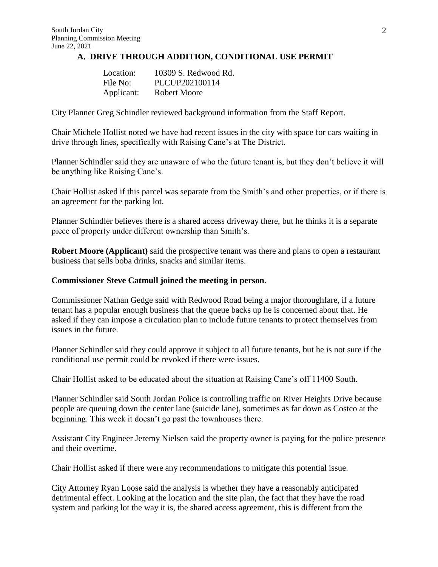#### **A. DRIVE THROUGH ADDITION, CONDITIONAL USE PERMIT**

| Location:  | 10309 S. Redwood Rd. |
|------------|----------------------|
| File No:   | PLCUP202100114       |
| Applicant: | <b>Robert Moore</b>  |

City Planner Greg Schindler reviewed background information from the Staff Report.

Chair Michele Hollist noted we have had recent issues in the city with space for cars waiting in drive through lines, specifically with Raising Cane's at The District.

Planner Schindler said they are unaware of who the future tenant is, but they don't believe it will be anything like Raising Cane's.

Chair Hollist asked if this parcel was separate from the Smith's and other properties, or if there is an agreement for the parking lot.

Planner Schindler believes there is a shared access driveway there, but he thinks it is a separate piece of property under different ownership than Smith's.

**Robert Moore (Applicant)** said the prospective tenant was there and plans to open a restaurant business that sells boba drinks, snacks and similar items.

#### **Commissioner Steve Catmull joined the meeting in person.**

Commissioner Nathan Gedge said with Redwood Road being a major thoroughfare, if a future tenant has a popular enough business that the queue backs up he is concerned about that. He asked if they can impose a circulation plan to include future tenants to protect themselves from issues in the future.

Planner Schindler said they could approve it subject to all future tenants, but he is not sure if the conditional use permit could be revoked if there were issues.

Chair Hollist asked to be educated about the situation at Raising Cane's off 11400 South.

Planner Schindler said South Jordan Police is controlling traffic on River Heights Drive because people are queuing down the center lane (suicide lane), sometimes as far down as Costco at the beginning. This week it doesn't go past the townhouses there.

Assistant City Engineer Jeremy Nielsen said the property owner is paying for the police presence and their overtime.

Chair Hollist asked if there were any recommendations to mitigate this potential issue.

City Attorney Ryan Loose said the analysis is whether they have a reasonably anticipated detrimental effect. Looking at the location and the site plan, the fact that they have the road system and parking lot the way it is, the shared access agreement, this is different from the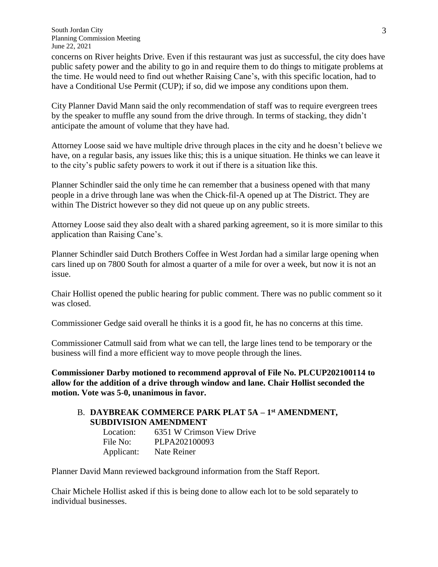concerns on River heights Drive. Even if this restaurant was just as successful, the city does have public safety power and the ability to go in and require them to do things to mitigate problems at the time. He would need to find out whether Raising Cane's, with this specific location, had to have a Conditional Use Permit (CUP); if so, did we impose any conditions upon them.

City Planner David Mann said the only recommendation of staff was to require evergreen trees by the speaker to muffle any sound from the drive through. In terms of stacking, they didn't anticipate the amount of volume that they have had.

Attorney Loose said we have multiple drive through places in the city and he doesn't believe we have, on a regular basis, any issues like this; this is a unique situation. He thinks we can leave it to the city's public safety powers to work it out if there is a situation like this.

Planner Schindler said the only time he can remember that a business opened with that many people in a drive through lane was when the Chick-fil-A opened up at The District. They are within The District however so they did not queue up on any public streets.

Attorney Loose said they also dealt with a shared parking agreement, so it is more similar to this application than Raising Cane's.

Planner Schindler said Dutch Brothers Coffee in West Jordan had a similar large opening when cars lined up on 7800 South for almost a quarter of a mile for over a week, but now it is not an issue.

Chair Hollist opened the public hearing for public comment. There was no public comment so it was closed.

Commissioner Gedge said overall he thinks it is a good fit, he has no concerns at this time.

Commissioner Catmull said from what we can tell, the large lines tend to be temporary or the business will find a more efficient way to move people through the lines.

**Commissioner Darby motioned to recommend approval of File No. PLCUP202100114 to allow for the addition of a drive through window and lane. Chair Hollist seconded the motion. Vote was 5-0, unanimous in favor.**

## B. **DAYBREAK COMMERCE PARK PLAT 5A – 1 st AMENDMENT, SUBDIVISION AMENDMENT**

| Location:  | 6351 W Crimson View Drive |
|------------|---------------------------|
| File No:   | PLPA202100093             |
| Applicant: | Nate Reiner               |

Planner David Mann reviewed background information from the Staff Report.

Chair Michele Hollist asked if this is being done to allow each lot to be sold separately to individual businesses.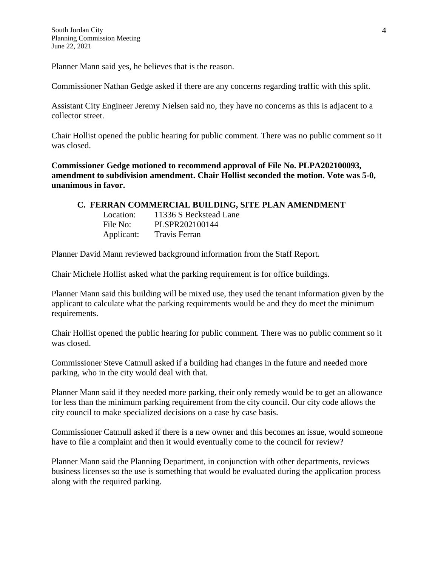Planner Mann said yes, he believes that is the reason.

Commissioner Nathan Gedge asked if there are any concerns regarding traffic with this split.

Assistant City Engineer Jeremy Nielsen said no, they have no concerns as this is adjacent to a collector street.

Chair Hollist opened the public hearing for public comment. There was no public comment so it was closed.

**Commissioner Gedge motioned to recommend approval of File No. PLPA202100093, amendment to subdivision amendment. Chair Hollist seconded the motion. Vote was 5-0, unanimous in favor.**

#### **C. FERRAN COMMERCIAL BUILDING, SITE PLAN AMENDMENT**

| Location:  | 11336 S Beckstead Lane |
|------------|------------------------|
| File No:   | PLSPR202100144         |
| Applicant: | <b>Travis Ferran</b>   |

Planner David Mann reviewed background information from the Staff Report.

Chair Michele Hollist asked what the parking requirement is for office buildings.

Planner Mann said this building will be mixed use, they used the tenant information given by the applicant to calculate what the parking requirements would be and they do meet the minimum requirements.

Chair Hollist opened the public hearing for public comment. There was no public comment so it was closed.

Commissioner Steve Catmull asked if a building had changes in the future and needed more parking, who in the city would deal with that.

Planner Mann said if they needed more parking, their only remedy would be to get an allowance for less than the minimum parking requirement from the city council. Our city code allows the city council to make specialized decisions on a case by case basis.

Commissioner Catmull asked if there is a new owner and this becomes an issue, would someone have to file a complaint and then it would eventually come to the council for review?

Planner Mann said the Planning Department, in conjunction with other departments, reviews business licenses so the use is something that would be evaluated during the application process along with the required parking.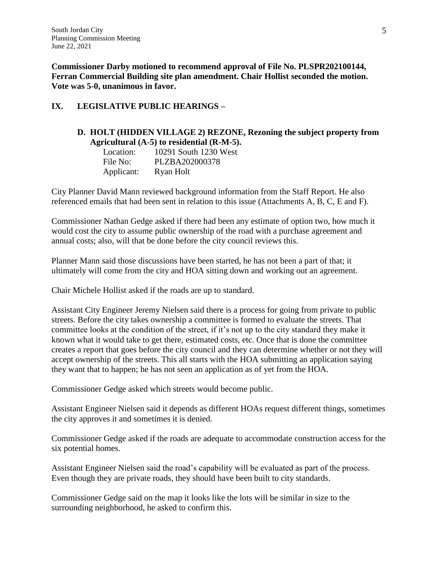**Commissioner Darby motioned to recommend approval of File No. PLSPR202100144, Ferran Commercial Building site plan amendment. Chair Hollist seconded the motion. Vote was 5-0, unanimous in favor.**

# **IX. LEGISLATIVE PUBLIC HEARINGS –**

# **D. HOLT (HIDDEN VILLAGE 2) REZONE, Rezoning the subject property from Agricultural (A-5) to residential (R-M-5).**

| Location:  | 10291 South 1230 West |
|------------|-----------------------|
| File No:   | PLZBA202000378        |
| Applicant: | Ryan Holt             |

City Planner David Mann reviewed background information from the Staff Report. He also referenced emails that had been sent in relation to this issue (Attachments A, B, C, E and F).

Commissioner Nathan Gedge asked if there had been any estimate of option two, how much it would cost the city to assume public ownership of the road with a purchase agreement and annual costs; also, will that be done before the city council reviews this.

Planner Mann said those discussions have been started, he has not been a part of that; it ultimately will come from the city and HOA sitting down and working out an agreement.

Chair Michele Hollist asked if the roads are up to standard.

Assistant City Engineer Jeremy Nielsen said there is a process for going from private to public streets. Before the city takes ownership a committee is formed to evaluate the streets. That committee looks at the condition of the street, if it's not up to the city standard they make it known what it would take to get there, estimated costs, etc. Once that is done the committee creates a report that goes before the city council and they can determine whether or not they will accept ownership of the streets. This all starts with the HOA submitting an application saying they want that to happen; he has not seen an application as of yet from the HOA.

Commissioner Gedge asked which streets would become public.

Assistant Engineer Nielsen said it depends as different HOAs request different things, sometimes the city approves it and sometimes it is denied.

Commissioner Gedge asked if the roads are adequate to accommodate construction access for the six potential homes.

Assistant Engineer Nielsen said the road's capability will be evaluated as part of the process. Even though they are private roads, they should have been built to city standards.

Commissioner Gedge said on the map it looks like the lots will be similar in size to the surrounding neighborhood, he asked to confirm this.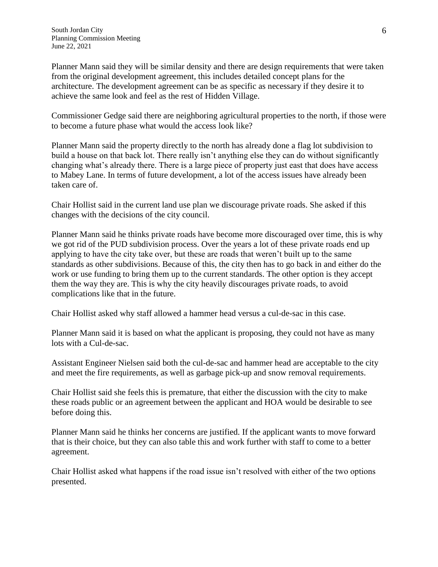Planner Mann said they will be similar density and there are design requirements that were taken from the original development agreement, this includes detailed concept plans for the architecture. The development agreement can be as specific as necessary if they desire it to achieve the same look and feel as the rest of Hidden Village.

Commissioner Gedge said there are neighboring agricultural properties to the north, if those were to become a future phase what would the access look like?

Planner Mann said the property directly to the north has already done a flag lot subdivision to build a house on that back lot. There really isn't anything else they can do without significantly changing what's already there. There is a large piece of property just east that does have access to Mabey Lane. In terms of future development, a lot of the access issues have already been taken care of.

Chair Hollist said in the current land use plan we discourage private roads. She asked if this changes with the decisions of the city council.

Planner Mann said he thinks private roads have become more discouraged over time, this is why we got rid of the PUD subdivision process. Over the years a lot of these private roads end up applying to have the city take over, but these are roads that weren't built up to the same standards as other subdivisions. Because of this, the city then has to go back in and either do the work or use funding to bring them up to the current standards. The other option is they accept them the way they are. This is why the city heavily discourages private roads, to avoid complications like that in the future.

Chair Hollist asked why staff allowed a hammer head versus a cul-de-sac in this case.

Planner Mann said it is based on what the applicant is proposing, they could not have as many lots with a Cul-de-sac.

Assistant Engineer Nielsen said both the cul-de-sac and hammer head are acceptable to the city and meet the fire requirements, as well as garbage pick-up and snow removal requirements.

Chair Hollist said she feels this is premature, that either the discussion with the city to make these roads public or an agreement between the applicant and HOA would be desirable to see before doing this.

Planner Mann said he thinks her concerns are justified. If the applicant wants to move forward that is their choice, but they can also table this and work further with staff to come to a better agreement.

Chair Hollist asked what happens if the road issue isn't resolved with either of the two options presented.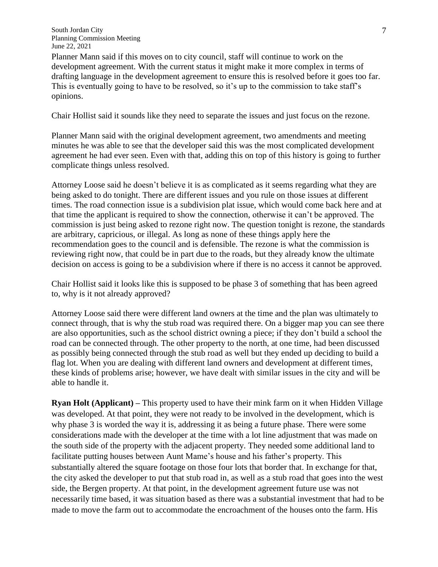Planner Mann said if this moves on to city council, staff will continue to work on the development agreement. With the current status it might make it more complex in terms of drafting language in the development agreement to ensure this is resolved before it goes too far. This is eventually going to have to be resolved, so it's up to the commission to take staff's opinions.

Chair Hollist said it sounds like they need to separate the issues and just focus on the rezone.

Planner Mann said with the original development agreement, two amendments and meeting minutes he was able to see that the developer said this was the most complicated development agreement he had ever seen. Even with that, adding this on top of this history is going to further complicate things unless resolved.

Attorney Loose said he doesn't believe it is as complicated as it seems regarding what they are being asked to do tonight. There are different issues and you rule on those issues at different times. The road connection issue is a subdivision plat issue, which would come back here and at that time the applicant is required to show the connection, otherwise it can't be approved. The commission is just being asked to rezone right now. The question tonight is rezone, the standards are arbitrary, capricious, or illegal. As long as none of these things apply here the recommendation goes to the council and is defensible. The rezone is what the commission is reviewing right now, that could be in part due to the roads, but they already know the ultimate decision on access is going to be a subdivision where if there is no access it cannot be approved.

Chair Hollist said it looks like this is supposed to be phase 3 of something that has been agreed to, why is it not already approved?

Attorney Loose said there were different land owners at the time and the plan was ultimately to connect through, that is why the stub road was required there. On a bigger map you can see there are also opportunities, such as the school district owning a piece; if they don't build a school the road can be connected through. The other property to the north, at one time, had been discussed as possibly being connected through the stub road as well but they ended up deciding to build a flag lot. When you are dealing with different land owners and development at different times, these kinds of problems arise; however, we have dealt with similar issues in the city and will be able to handle it.

**Ryan Holt (Applicant) –** This property used to have their mink farm on it when Hidden Village was developed. At that point, they were not ready to be involved in the development, which is why phase 3 is worded the way it is, addressing it as being a future phase. There were some considerations made with the developer at the time with a lot line adjustment that was made on the south side of the property with the adjacent property. They needed some additional land to facilitate putting houses between Aunt Mame's house and his father's property. This substantially altered the square footage on those four lots that border that. In exchange for that, the city asked the developer to put that stub road in, as well as a stub road that goes into the west side, the Bergen property. At that point, in the development agreement future use was not necessarily time based, it was situation based as there was a substantial investment that had to be made to move the farm out to accommodate the encroachment of the houses onto the farm. His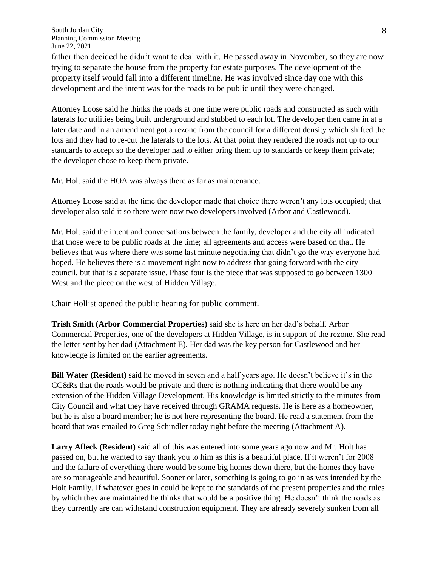father then decided he didn't want to deal with it. He passed away in November, so they are now trying to separate the house from the property for estate purposes. The development of the property itself would fall into a different timeline. He was involved since day one with this development and the intent was for the roads to be public until they were changed.

Attorney Loose said he thinks the roads at one time were public roads and constructed as such with laterals for utilities being built underground and stubbed to each lot. The developer then came in at a later date and in an amendment got a rezone from the council for a different density which shifted the lots and they had to re-cut the laterals to the lots. At that point they rendered the roads not up to our standards to accept so the developer had to either bring them up to standards or keep them private; the developer chose to keep them private.

Mr. Holt said the HOA was always there as far as maintenance.

Attorney Loose said at the time the developer made that choice there weren't any lots occupied; that developer also sold it so there were now two developers involved (Arbor and Castlewood).

Mr. Holt said the intent and conversations between the family, developer and the city all indicated that those were to be public roads at the time; all agreements and access were based on that. He believes that was where there was some last minute negotiating that didn't go the way everyone had hoped. He believes there is a movement right now to address that going forward with the city council, but that is a separate issue. Phase four is the piece that was supposed to go between 1300 West and the piece on the west of Hidden Village.

Chair Hollist opened the public hearing for public comment.

**Trish Smith (Arbor Commercial Properties)** said **s**he is here on her dad's behalf. Arbor Commercial Properties, one of the developers at Hidden Village, is in support of the rezone. She read the letter sent by her dad (Attachment E). Her dad was the key person for Castlewood and her knowledge is limited on the earlier agreements.

**Bill Water (Resident)** said he moved in seven and a half years ago. He doesn't believe it's in the CC&Rs that the roads would be private and there is nothing indicating that there would be any extension of the Hidden Village Development. His knowledge is limited strictly to the minutes from City Council and what they have received through GRAMA requests. He is here as a homeowner, but he is also a board member; he is not here representing the board. He read a statement from the board that was emailed to Greg Schindler today right before the meeting (Attachment A).

**Larry Afleck (Resident)** said all of this was entered into some years ago now and Mr. Holt has passed on, but he wanted to say thank you to him as this is a beautiful place. If it weren't for 2008 and the failure of everything there would be some big homes down there, but the homes they have are so manageable and beautiful. Sooner or later, something is going to go in as was intended by the Holt Family. If whatever goes in could be kept to the standards of the present properties and the rules by which they are maintained he thinks that would be a positive thing. He doesn't think the roads as they currently are can withstand construction equipment. They are already severely sunken from all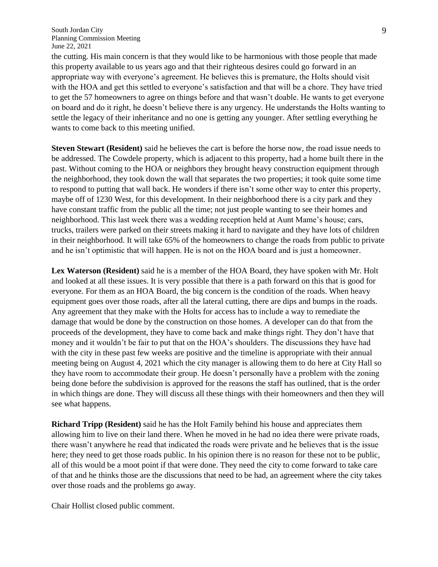the cutting. His main concern is that they would like to be harmonious with those people that made this property available to us years ago and that their righteous desires could go forward in an appropriate way with everyone's agreement. He believes this is premature, the Holts should visit with the HOA and get this settled to everyone's satisfaction and that will be a chore. They have tried to get the 57 homeowners to agree on things before and that wasn't doable. He wants to get everyone on board and do it right, he doesn't believe there is any urgency. He understands the Holts wanting to settle the legacy of their inheritance and no one is getting any younger. After settling everything he wants to come back to this meeting unified.

**Steven Stewart (Resident)** said he believes the cart is before the horse now, the road issue needs to be addressed. The Cowdele property, which is adjacent to this property, had a home built there in the past. Without coming to the HOA or neighbors they brought heavy construction equipment through the neighborhood, they took down the wall that separates the two properties; it took quite some time to respond to putting that wall back. He wonders if there isn't some other way to enter this property, maybe off of 1230 West, for this development. In their neighborhood there is a city park and they have constant traffic from the public all the time; not just people wanting to see their homes and neighborhood. This last week there was a wedding reception held at Aunt Mame's house; cars, trucks, trailers were parked on their streets making it hard to navigate and they have lots of children in their neighborhood. It will take 65% of the homeowners to change the roads from public to private and he isn't optimistic that will happen. He is not on the HOA board and is just a homeowner.

**Lex Waterson (Resident)** said he is a member of the HOA Board, they have spoken with Mr. Holt and looked at all these issues. It is very possible that there is a path forward on this that is good for everyone. For them as an HOA Board, the big concern is the condition of the roads. When heavy equipment goes over those roads, after all the lateral cutting, there are dips and bumps in the roads. Any agreement that they make with the Holts for access has to include a way to remediate the damage that would be done by the construction on those homes. A developer can do that from the proceeds of the development, they have to come back and make things right. They don't have that money and it wouldn't be fair to put that on the HOA's shoulders. The discussions they have had with the city in these past few weeks are positive and the timeline is appropriate with their annual meeting being on August 4, 2021 which the city manager is allowing them to do here at City Hall so they have room to accommodate their group. He doesn't personally have a problem with the zoning being done before the subdivision is approved for the reasons the staff has outlined, that is the order in which things are done. They will discuss all these things with their homeowners and then they will see what happens.

**Richard Tripp (Resident)** said he has the Holt Family behind his house and appreciates them allowing him to live on their land there. When he moved in he had no idea there were private roads, there wasn't anywhere he read that indicated the roads were private and he believes that is the issue here; they need to get those roads public. In his opinion there is no reason for these not to be public, all of this would be a moot point if that were done. They need the city to come forward to take care of that and he thinks those are the discussions that need to be had, an agreement where the city takes over those roads and the problems go away.

Chair Hollist closed public comment.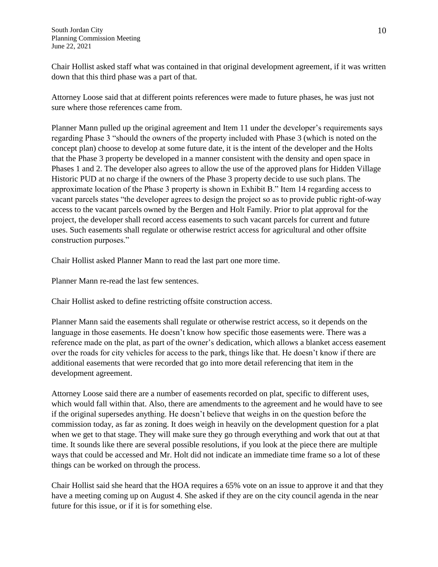Chair Hollist asked staff what was contained in that original development agreement, if it was written down that this third phase was a part of that.

Attorney Loose said that at different points references were made to future phases, he was just not sure where those references came from.

Planner Mann pulled up the original agreement and Item 11 under the developer's requirements says regarding Phase 3 "should the owners of the property included with Phase 3 (which is noted on the concept plan) choose to develop at some future date, it is the intent of the developer and the Holts that the Phase 3 property be developed in a manner consistent with the density and open space in Phases 1 and 2. The developer also agrees to allow the use of the approved plans for Hidden Village Historic PUD at no charge if the owners of the Phase 3 property decide to use such plans. The approximate location of the Phase 3 property is shown in Exhibit B." Item 14 regarding access to vacant parcels states "the developer agrees to design the project so as to provide public right-of-way access to the vacant parcels owned by the Bergen and Holt Family. Prior to plat approval for the project, the developer shall record access easements to such vacant parcels for current and future uses. Such easements shall regulate or otherwise restrict access for agricultural and other offsite construction purposes."

Chair Hollist asked Planner Mann to read the last part one more time.

Planner Mann re-read the last few sentences.

Chair Hollist asked to define restricting offsite construction access.

Planner Mann said the easements shall regulate or otherwise restrict access, so it depends on the language in those easements. He doesn't know how specific those easements were. There was a reference made on the plat, as part of the owner's dedication, which allows a blanket access easement over the roads for city vehicles for access to the park, things like that. He doesn't know if there are additional easements that were recorded that go into more detail referencing that item in the development agreement.

Attorney Loose said there are a number of easements recorded on plat, specific to different uses, which would fall within that. Also, there are amendments to the agreement and he would have to see if the original supersedes anything. He doesn't believe that weighs in on the question before the commission today, as far as zoning. It does weigh in heavily on the development question for a plat when we get to that stage. They will make sure they go through everything and work that out at that time. It sounds like there are several possible resolutions, if you look at the piece there are multiple ways that could be accessed and Mr. Holt did not indicate an immediate time frame so a lot of these things can be worked on through the process.

Chair Hollist said she heard that the HOA requires a 65% vote on an issue to approve it and that they have a meeting coming up on August 4. She asked if they are on the city council agenda in the near future for this issue, or if it is for something else.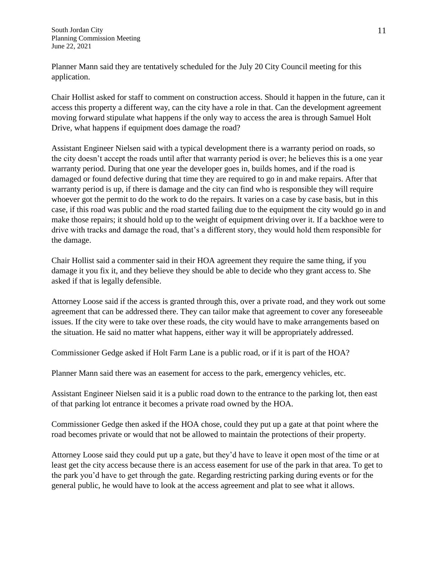Planner Mann said they are tentatively scheduled for the July 20 City Council meeting for this application.

Chair Hollist asked for staff to comment on construction access. Should it happen in the future, can it access this property a different way, can the city have a role in that. Can the development agreement moving forward stipulate what happens if the only way to access the area is through Samuel Holt Drive, what happens if equipment does damage the road?

Assistant Engineer Nielsen said with a typical development there is a warranty period on roads, so the city doesn't accept the roads until after that warranty period is over; he believes this is a one year warranty period. During that one year the developer goes in, builds homes, and if the road is damaged or found defective during that time they are required to go in and make repairs. After that warranty period is up, if there is damage and the city can find who is responsible they will require whoever got the permit to do the work to do the repairs. It varies on a case by case basis, but in this case, if this road was public and the road started failing due to the equipment the city would go in and make those repairs; it should hold up to the weight of equipment driving over it. If a backhoe were to drive with tracks and damage the road, that's a different story, they would hold them responsible for the damage.

Chair Hollist said a commenter said in their HOA agreement they require the same thing, if you damage it you fix it, and they believe they should be able to decide who they grant access to. She asked if that is legally defensible.

Attorney Loose said if the access is granted through this, over a private road, and they work out some agreement that can be addressed there. They can tailor make that agreement to cover any foreseeable issues. If the city were to take over these roads, the city would have to make arrangements based on the situation. He said no matter what happens, either way it will be appropriately addressed.

Commissioner Gedge asked if Holt Farm Lane is a public road, or if it is part of the HOA?

Planner Mann said there was an easement for access to the park, emergency vehicles, etc.

Assistant Engineer Nielsen said it is a public road down to the entrance to the parking lot, then east of that parking lot entrance it becomes a private road owned by the HOA.

Commissioner Gedge then asked if the HOA chose, could they put up a gate at that point where the road becomes private or would that not be allowed to maintain the protections of their property.

Attorney Loose said they could put up a gate, but they'd have to leave it open most of the time or at least get the city access because there is an access easement for use of the park in that area. To get to the park you'd have to get through the gate. Regarding restricting parking during events or for the general public, he would have to look at the access agreement and plat to see what it allows.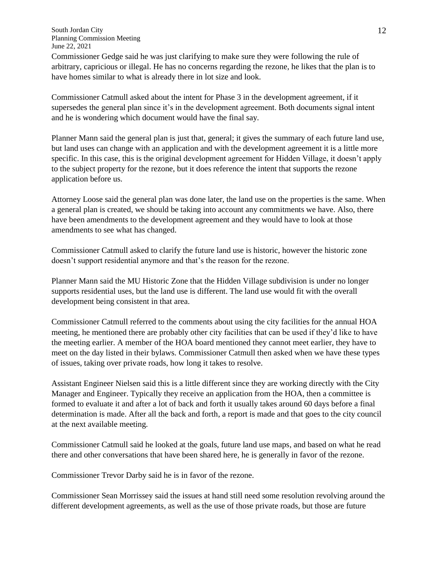Commissioner Gedge said he was just clarifying to make sure they were following the rule of arbitrary, capricious or illegal. He has no concerns regarding the rezone, he likes that the plan is to have homes similar to what is already there in lot size and look.

Commissioner Catmull asked about the intent for Phase 3 in the development agreement, if it supersedes the general plan since it's in the development agreement. Both documents signal intent and he is wondering which document would have the final say.

Planner Mann said the general plan is just that, general; it gives the summary of each future land use, but land uses can change with an application and with the development agreement it is a little more specific. In this case, this is the original development agreement for Hidden Village, it doesn't apply to the subject property for the rezone, but it does reference the intent that supports the rezone application before us.

Attorney Loose said the general plan was done later, the land use on the properties is the same. When a general plan is created, we should be taking into account any commitments we have. Also, there have been amendments to the development agreement and they would have to look at those amendments to see what has changed.

Commissioner Catmull asked to clarify the future land use is historic, however the historic zone doesn't support residential anymore and that's the reason for the rezone.

Planner Mann said the MU Historic Zone that the Hidden Village subdivision is under no longer supports residential uses, but the land use is different. The land use would fit with the overall development being consistent in that area.

Commissioner Catmull referred to the comments about using the city facilities for the annual HOA meeting, he mentioned there are probably other city facilities that can be used if they'd like to have the meeting earlier. A member of the HOA board mentioned they cannot meet earlier, they have to meet on the day listed in their bylaws. Commissioner Catmull then asked when we have these types of issues, taking over private roads, how long it takes to resolve.

Assistant Engineer Nielsen said this is a little different since they are working directly with the City Manager and Engineer. Typically they receive an application from the HOA, then a committee is formed to evaluate it and after a lot of back and forth it usually takes around 60 days before a final determination is made. After all the back and forth, a report is made and that goes to the city council at the next available meeting.

Commissioner Catmull said he looked at the goals, future land use maps, and based on what he read there and other conversations that have been shared here, he is generally in favor of the rezone.

Commissioner Trevor Darby said he is in favor of the rezone.

Commissioner Sean Morrissey said the issues at hand still need some resolution revolving around the different development agreements, as well as the use of those private roads, but those are future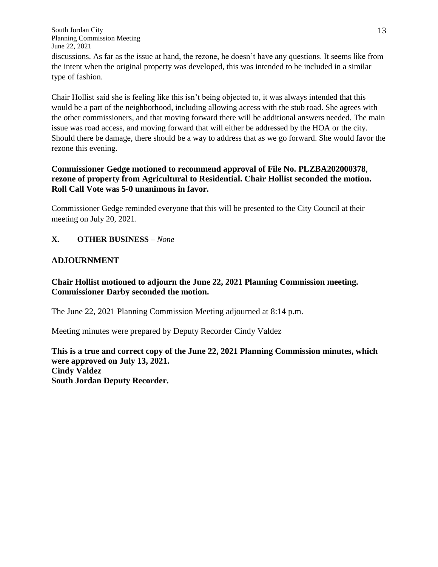discussions. As far as the issue at hand, the rezone, he doesn't have any questions. It seems like from the intent when the original property was developed, this was intended to be included in a similar type of fashion.

Chair Hollist said she is feeling like this isn't being objected to, it was always intended that this would be a part of the neighborhood, including allowing access with the stub road. She agrees with the other commissioners, and that moving forward there will be additional answers needed. The main issue was road access, and moving forward that will either be addressed by the HOA or the city. Should there be damage, there should be a way to address that as we go forward. She would favor the rezone this evening.

## **Commissioner Gedge motioned to recommend approval of File No. PLZBA202000378**, **rezone of property from Agricultural to Residential. Chair Hollist seconded the motion. Roll Call Vote was 5-0 unanimous in favor.**

Commissioner Gedge reminded everyone that this will be presented to the City Council at their meeting on July 20, 2021.

## **X. OTHER BUSINESS** *– None*

## **ADJOURNMENT**

# **Chair Hollist motioned to adjourn the June 22, 2021 Planning Commission meeting. Commissioner Darby seconded the motion.**

The June 22, 2021 Planning Commission Meeting adjourned at 8:14 p.m.

Meeting minutes were prepared by Deputy Recorder Cindy Valdez

**This is a true and correct copy of the June 22, 2021 Planning Commission minutes, which were approved on July 13, 2021. Cindy Valdez South Jordan Deputy Recorder.**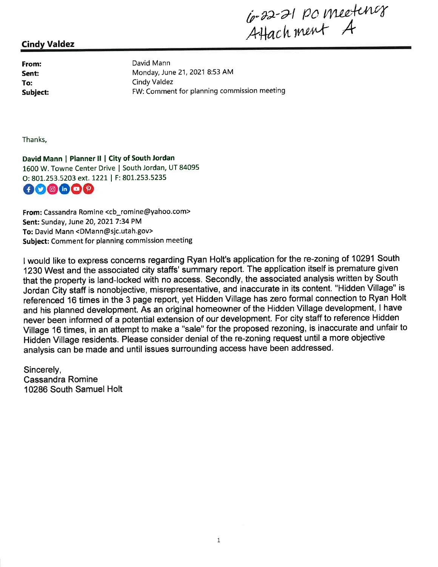G-22-21 pc meeting

### **Cindy Valdez**

From: Sent: To: **Subject:**  David Mann Monday, June 21, 2021 8:53 AM Cindy Valdez FW: Comment for planning commission meeting

Thanks,

David Mann | Planner II | City of South Jordan 1600 W. Towne Center Drive | South Jordan, UT 84095 O: 801.253.5203 ext. 1221 | F: 801.253.5235 000000

From: Cassandra Romine <cb\_romine@yahoo.com> Sent: Sunday, June 20, 2021 7:34 PM To: David Mann <DMann@sjc.utah.gov> Subject: Comment for planning commission meeting

I would like to express concerns regarding Ryan Holt's application for the re-zoning of 10291 South 1230 West and the associated city staffs' summary report. The application itself is premature given that the property is land-locked with no access. Secondly, the associated analysis written by South Jordan City staff is nonobjective, misrepresentative, and inaccurate in its content. "Hidden Village" is referenced 16 times in the 3 page report, yet Hidden Village has zero formal connection to Ryan Holt and his planned development. As an original homeowner of the Hidden Village development, I have never been informed of a potential extension of our development. For city staff to reference Hidden Village 16 times, in an attempt to make a "sale" for the proposed rezoning, is inaccurate and unfair to Hidden Village residents. Please consider denial of the re-zoning request until a more objective analysis can be made and until issues surrounding access have been addressed.

Sincerely, **Cassandra Romine** 10286 South Samuel Holt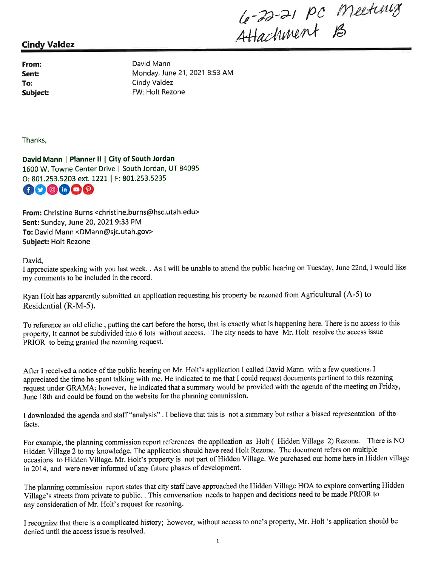Le-22-21 pc meeting

# **Cindy Valdez**

From: Sent: To: Subiect: David Mann Monday, June 21, 2021 8:53 AM **Cindy Valdez** FW: Holt Rezone

Thanks.

David Mann | Planner II | City of South Jordan 1600 W. Towne Center Drive | South Jordan, UT 84095 O: 801.253.5203 ext. 1221 | F: 801.253.5235 OO O GOP

From: Christine Burns <christine.burns@hsc.utah.edu> Sent: Sunday, June 20, 2021 9:33 PM To: David Mann <DMann@sjc.utah.gov> **Subject: Holt Rezone** 

David,

I appreciate speaking with you last week. . As I will be unable to attend the public hearing on Tuesday, June 22nd, I would like my comments to be included in the record.

Ryan Holt has apparently submitted an application requesting his property be rezoned from Agricultural (A-5) to Residential (R-M-5).

To reference an old cliche, putting the cart before the horse, that is exactly what is happening here. There is no access to this property, It cannot be subdivided into 6 lots without access. The city needs to have Mr. Holt resolve the access issue PRIOR to being granted the rezoning request.

After I received a notice of the public hearing on Mr. Holt's application I called David Mann with a few questions. I appreciated the time he spent talking with me. He indicated to me that I could request documents pertinent to this rezoning request under GRAMA; however, he indicated that a summary would be provided with the agenda of the meeting on Friday, June 18th and could be found on the website for the planning commission.

I downloaded the agenda and staff "analysis". I believe that this is not a summary but rather a biased representation of the facts.

For example, the planning commission report references the application as Holt (Hidden Village 2) Rezone. There is NO Hidden Village 2 to my knowledge. The application should have read Holt Rezone. The document refers on multiple occasions to Hidden Village. Mr. Holt's property is not part of Hidden Village. We purchased our home here in Hidden village in 2014, and were never informed of any future phases of development.

The planning commission report states that city staff have approached the Hidden Village HOA to explore converting Hidden Village's streets from private to public. . This conversation needs to happen and decisions need to be made PRIOR to any consideration of Mr. Holt's request for rezoning.

I recognize that there is a complicated history; however, without access to one's property, Mr. Holt 's application should be denied until the access issue is resolved.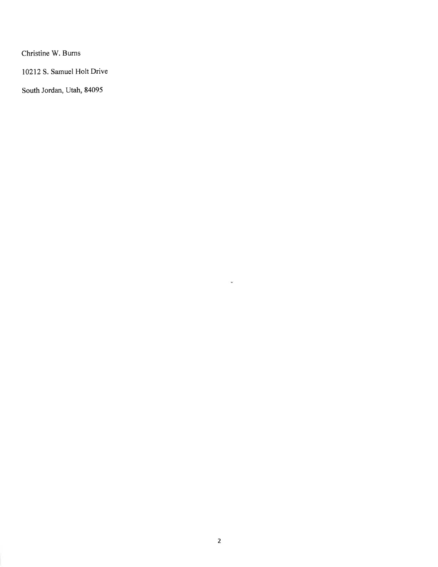Christine W. Burns

10212 S. Samuel Holt Drive

South Jordan, Utah, 84095

 $\langle\ \widehat{\mathbf{w}}\rangle$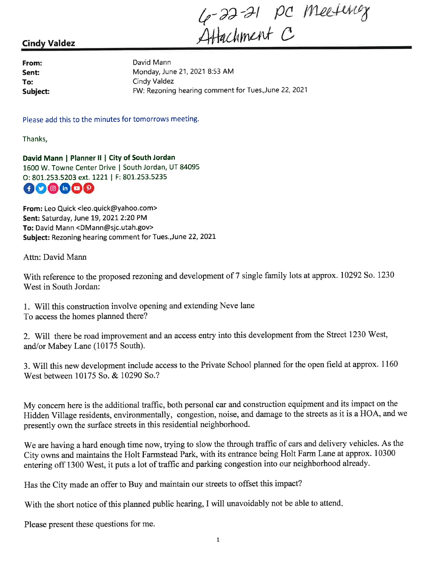4-22-21 pc meeting

# **Cindy Valdez**

From: Sent: To: Subject:

David Mann Monday, June 21, 2021 8:53 AM **Cindy Valdez** FW: Rezoning hearing comment for Tues., June 22, 2021

Please add this to the minutes for tomorrows meeting.

Thanks,

David Mann | Planner II | City of South Jordan 1600 W. Towne Center Drive | South Jordan, UT 84095 O: 801.253.5203 ext. 1221 | F: 801.253.5235



From: Leo Quick <leo.quick@yahoo.com> Sent: Saturday, June 19, 2021 2:20 PM To: David Mann <DMann@sjc.utah.gov> Subject: Rezoning hearing comment for Tues., June 22, 2021

Attn: David Mann

With reference to the proposed rezoning and development of 7 single family lots at approx. 10292 So. 1230 West in South Jordan:

1. Will this construction involve opening and extending Neve lane To access the homes planned there?

2. Will there be road improvement and an access entry into this development from the Street 1230 West, and/or Mabey Lane (10175 South).

3. Will this new development include access to the Private School planned for the open field at approx. 1160 West between 10175 So, & 10290 So.?

My concern here is the additional traffic, both personal car and construction equipment and its impact on the Hidden Village residents, environmentally, congestion, noise, and damage to the streets as it is a HOA, and we presently own the surface streets in this residential neighborhood.

We are having a hard enough time now, trying to slow the through traffic of cars and delivery vehicles. As the City owns and maintains the Holt Farmstead Park, with its entrance being Holt Farm Lane at approx. 10300 entering off 1300 West, it puts a lot of traffic and parking congestion into our neighborhood already.

Has the City made an offer to Buy and maintain our streets to offset this impact?

With the short notice of this planned public hearing, I will unavoidably not be able to attend.

Please present these questions for me.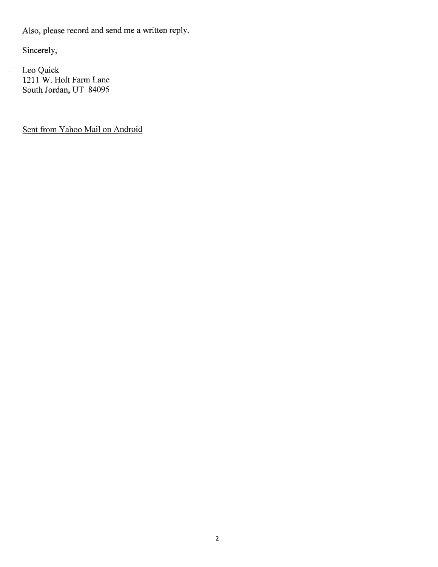Also, please record and send me a written reply.

Sincerely,

Leo Quick 1211 W. Holt Farm Lane South Jordan, UT 84095

Sent from Yahoo Mail on Android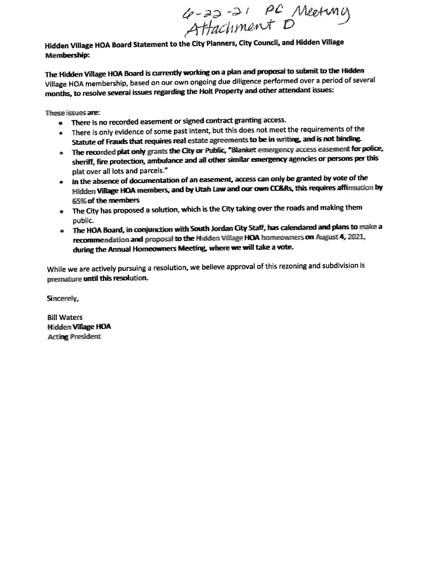4-22-21 PC Meeting

Hidden Village HOA Board Statement to the City Planners, City Council, and Hidden Village **Membership:** 

The Hidden Village HOA Board is currently working on a plan and proposal to submit to the Hidden Village HOA membership, based on our own ongoing due diligence performed over a period of several months, to resolve several issues regarding the Holt Property and other attendant issues:

These issues are:

- There is no recorded easement or signed contract granting access.
- There is only evidence of some past intent, but this does not meet the requirements of the Statute of Frauds that requires real estate agreements to be in writing, and is not binding.
- The recorded plat only grants the City or Public, "Blanket emergency access easement for police, sheriff, fire protection, ambulance and all other similar emergency agencies or persons per this plat over all lots and parcels."
- . In the absence of documentation of an easement, access can only be granted by vote of the Hidden Village HOA members, and by Utah Law and our own CC&Rs, this requires affirmation by 65% of the members
- The City has proposed a solution, which is the City taking over the roads and making them public.
- . The HOA Board, in conjunction with South Jordan City Staff, has calendared and plans to make a recommendation and proposal to the Hidden Village HOA homeowners on August 4, 2021, during the Annual Homeowners Meeting, where we will take a vote.

While we are actively pursuing a resolution, we believe approval of this rezoning and subdivision is premature until this resolution.

Sincerely,

**Bill Waters** Hidden Village HOA **Acting President**